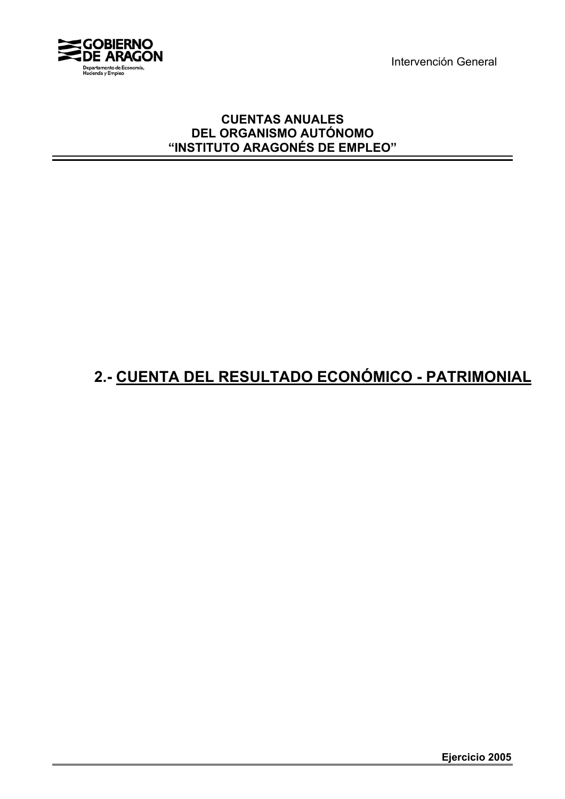Intervención General



## **CUENTAS ANUALES DEL ORGANISMO AUTÓNOMO "INSTITUTO ARAGONÉS DE EMPLEO"**

## **2.- CUENTA DEL RESULTADO ECONÓMICO - PATRIMONIAL**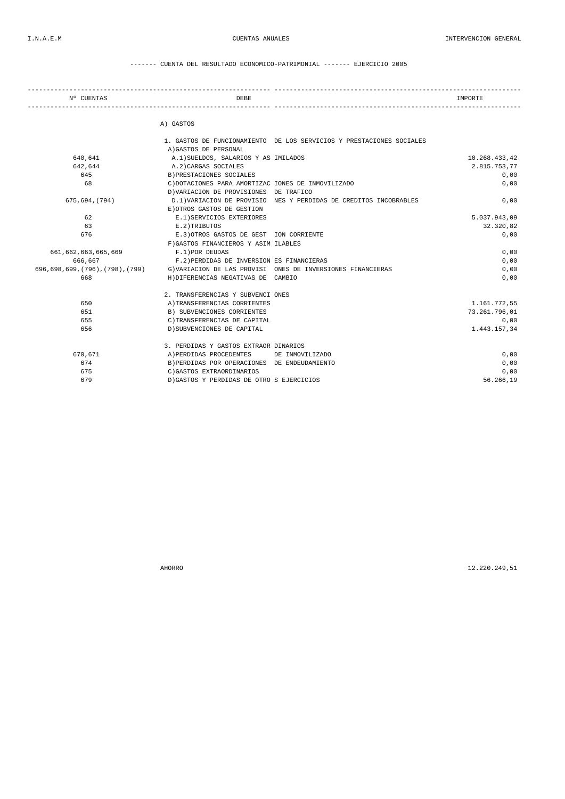------- CUENTA DEL RESULTADO ECONOMICO-PATRIMONIAL ------- EJERCICIO 2005

| Nº CUENTAS                    | <b>DEBE</b>                                        |                                                                      | IMPORTE       |
|-------------------------------|----------------------------------------------------|----------------------------------------------------------------------|---------------|
|                               | A) GASTOS                                          |                                                                      |               |
|                               |                                                    | 1. GASTOS DE FUNCIONAMIENTO DE LOS SERVICIOS Y PRESTACIONES SOCIALES |               |
|                               | A) GASTOS DE PERSONAL                              |                                                                      |               |
| 640.641                       | A.1) SUELDOS, SALARIOS Y AS IMILADOS               |                                                                      | 10.268.433,42 |
| 642.644                       | A.2) CARGAS SOCIALES                               |                                                                      | 2.815.753,77  |
| 645                           | B) PRESTACIONES SOCIALES                           |                                                                      | 0,00          |
| 68                            | C) DOTACIONES PARA AMORTIZAC IONES DE INMOVILIZADO |                                                                      | 0,00          |
|                               | D) VARIACION DE PROVISIONES DE TRAFICO             |                                                                      |               |
| 675,694,(794)                 |                                                    | D.1)VARIACION DE PROVISIO NES Y PERDIDAS DE CREDITOS INCOBRABLES     | 0,00          |
|                               | E) OTROS GASTOS DE GESTION                         |                                                                      |               |
| 62                            | E.1) SERVICIOS EXTERIORES                          |                                                                      | 5.037.943,09  |
| 63                            | E.2)TRIBUTOS                                       |                                                                      | 32.320,82     |
| 676                           | E.3) OTROS GASTOS DE GEST ION CORRIENTE            |                                                                      | 0,00          |
|                               | F) GASTOS FINANCIEROS Y ASIM ILABLES               |                                                                      |               |
| 661,662,663,665,669           | F.1) POR DEUDAS                                    |                                                                      | 0,00          |
| 666,667                       | F.2) PERDIDAS DE INVERSION ES FINANCIERAS          |                                                                      | 0,00          |
| 696,698,699,(796),(798),(799) |                                                    | G) VARIACION DE LAS PROVISI ONES DE INVERSIONES FINANCIERAS          | 0,00          |
| 668                           | H) DIFERENCIAS NEGATIVAS DE CAMBIO                 |                                                                      | 0,00          |
|                               | 2. TRANSFERENCIAS Y SUBVENCI ONES                  |                                                                      |               |
| 650                           | A) TRANSFERENCIAS CORRIENTES                       |                                                                      | 1.161.772,55  |
| 651                           | B) SUBVENCIONES CORRIENTES                         |                                                                      | 73.261.796,01 |
| 655                           | C)TRANSFERENCIAS DE CAPITAL                        |                                                                      | 0,00          |
| 656                           | D) SUBVENCIONES DE CAPITAL                         |                                                                      | 1.443.157,34  |
|                               | 3. PERDIDAS Y GASTOS EXTRAOR DINARIOS              |                                                                      |               |
| 670,671                       | A) PERDIDAS PROCEDENTES                            | DE INMOVILIZADO                                                      | 0,00          |
| 674                           | B) PERDIDAS POR OPERACIONES DE ENDEUDAMIENTO       |                                                                      | 0,00          |
| 675                           | C) GASTOS EXTRAORDINARIOS                          |                                                                      | 0,00          |
| 679                           | D) GASTOS Y PERDIDAS DE OTRO S EJERCICIOS          |                                                                      | 56.266,19     |

AHORRO 12.220.249,51